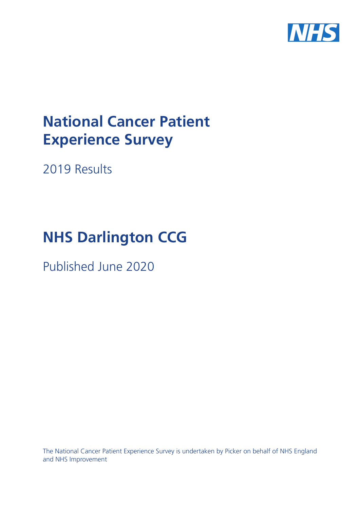

# **National Cancer Patient Experience Survey**

2019 Results

# **NHS Darlington CCG**

Published June 2020

The National Cancer Patient Experience Survey is undertaken by Picker on behalf of NHS England and NHS Improvement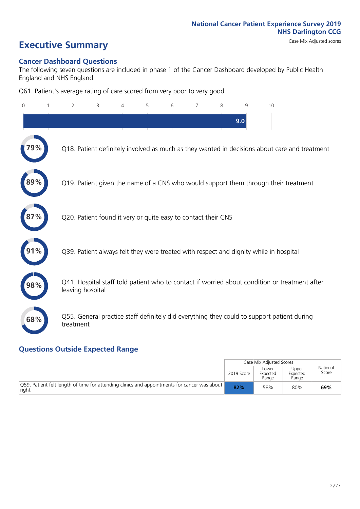# **Executive Summary** Case Mix Adjusted scores

### **Cancer Dashboard Questions**

The following seven questions are included in phase 1 of the Cancer Dashboard developed by Public Health England and NHS England:

Q61. Patient's average rating of care scored from very poor to very good

| $\Omega$ | $\overline{2}$   | 3                                                             | $\overline{4}$ | 5 | 6 | 7 | 8 | 9   | 10                                                                                            |  |
|----------|------------------|---------------------------------------------------------------|----------------|---|---|---|---|-----|-----------------------------------------------------------------------------------------------|--|
|          |                  |                                                               |                |   |   |   |   | 9.0 |                                                                                               |  |
|          |                  |                                                               |                |   |   |   |   |     | Q18. Patient definitely involved as much as they wanted in decisions about care and treatment |  |
|          |                  |                                                               |                |   |   |   |   |     | Q19. Patient given the name of a CNS who would support them through their treatment           |  |
|          |                  | Q20. Patient found it very or quite easy to contact their CNS |                |   |   |   |   |     |                                                                                               |  |
|          |                  |                                                               |                |   |   |   |   |     | Q39. Patient always felt they were treated with respect and dignity while in hospital         |  |
|          | leaving hospital |                                                               |                |   |   |   |   |     | Q41. Hospital staff told patient who to contact if worried about condition or treatment after |  |
| 68%      | treatment        |                                                               |                |   |   |   |   |     | Q55. General practice staff definitely did everything they could to support patient during    |  |
|          |                  |                                                               |                |   |   |   |   |     |                                                                                               |  |

### **Questions Outside Expected Range**

|                                                                                                               |            | Case Mix Adjusted Scores   |                            |                   |
|---------------------------------------------------------------------------------------------------------------|------------|----------------------------|----------------------------|-------------------|
|                                                                                                               | 2019 Score | Lower<br>Expected<br>Range | Upper<br>Expected<br>Range | National<br>Score |
| $\vert$ Q59. Patient felt length of time for attending clinics and appointments for cancer was about<br>right | 82%        | 58%                        | 80%                        | 69%               |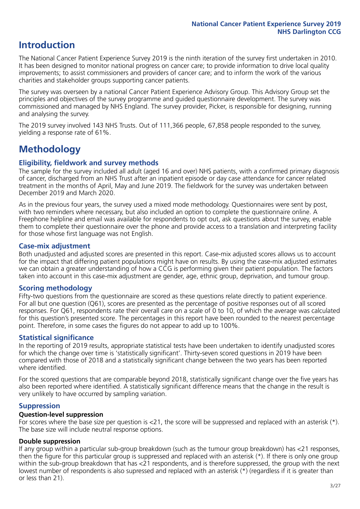# **Introduction**

The National Cancer Patient Experience Survey 2019 is the ninth iteration of the survey first undertaken in 2010. It has been designed to monitor national progress on cancer care; to provide information to drive local quality improvements; to assist commissioners and providers of cancer care; and to inform the work of the various charities and stakeholder groups supporting cancer patients.

The survey was overseen by a national Cancer Patient Experience Advisory Group. This Advisory Group set the principles and objectives of the survey programme and guided questionnaire development. The survey was commissioned and managed by NHS England. The survey provider, Picker, is responsible for designing, running and analysing the survey.

The 2019 survey involved 143 NHS Trusts. Out of 111,366 people, 67,858 people responded to the survey, yielding a response rate of 61%.

# **Methodology**

### **Eligibility, eldwork and survey methods**

The sample for the survey included all adult (aged 16 and over) NHS patients, with a confirmed primary diagnosis of cancer, discharged from an NHS Trust after an inpatient episode or day case attendance for cancer related treatment in the months of April, May and June 2019. The fieldwork for the survey was undertaken between December 2019 and March 2020.

As in the previous four years, the survey used a mixed mode methodology. Questionnaires were sent by post, with two reminders where necessary, but also included an option to complete the questionnaire online. A Freephone helpline and email was available for respondents to opt out, ask questions about the survey, enable them to complete their questionnaire over the phone and provide access to a translation and interpreting facility for those whose first language was not English.

### **Case-mix adjustment**

Both unadjusted and adjusted scores are presented in this report. Case-mix adjusted scores allows us to account for the impact that differing patient populations might have on results. By using the case-mix adjusted estimates we can obtain a greater understanding of how a CCG is performing given their patient population. The factors taken into account in this case-mix adjustment are gender, age, ethnic group, deprivation, and tumour group.

### **Scoring methodology**

Fifty-two questions from the questionnaire are scored as these questions relate directly to patient experience. For all but one question (Q61), scores are presented as the percentage of positive responses out of all scored responses. For Q61, respondents rate their overall care on a scale of 0 to 10, of which the average was calculated for this question's presented score. The percentages in this report have been rounded to the nearest percentage point. Therefore, in some cases the figures do not appear to add up to 100%.

### **Statistical significance**

In the reporting of 2019 results, appropriate statistical tests have been undertaken to identify unadjusted scores for which the change over time is 'statistically significant'. Thirty-seven scored questions in 2019 have been compared with those of 2018 and a statistically significant change between the two years has been reported where identified.

For the scored questions that are comparable beyond 2018, statistically significant change over the five years has also been reported where identified. A statistically significant difference means that the change in the result is very unlikely to have occurred by sampling variation.

### **Suppression**

### **Question-level suppression**

For scores where the base size per question is  $<$ 21, the score will be suppressed and replaced with an asterisk (\*). The base size will include neutral response options.

### **Double suppression**

If any group within a particular sub-group breakdown (such as the tumour group breakdown) has <21 responses, then the figure for this particular group is suppressed and replaced with an asterisk (\*). If there is only one group within the sub-group breakdown that has <21 respondents, and is therefore suppressed, the group with the next lowest number of respondents is also supressed and replaced with an asterisk (\*) (regardless if it is greater than or less than 21).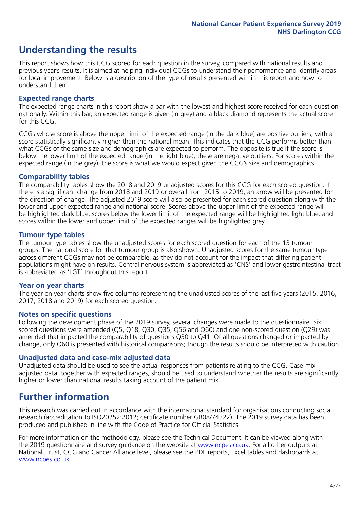# **Understanding the results**

This report shows how this CCG scored for each question in the survey, compared with national results and previous year's results. It is aimed at helping individual CCGs to understand their performance and identify areas for local improvement. Below is a description of the type of results presented within this report and how to understand them.

### **Expected range charts**

The expected range charts in this report show a bar with the lowest and highest score received for each question nationally. Within this bar, an expected range is given (in grey) and a black diamond represents the actual score for this CCG.

CCGs whose score is above the upper limit of the expected range (in the dark blue) are positive outliers, with a score statistically significantly higher than the national mean. This indicates that the CCG performs better than what CCGs of the same size and demographics are expected to perform. The opposite is true if the score is below the lower limit of the expected range (in the light blue); these are negative outliers. For scores within the expected range (in the grey), the score is what we would expect given the CCG's size and demographics.

### **Comparability tables**

The comparability tables show the 2018 and 2019 unadjusted scores for this CCG for each scored question. If there is a significant change from 2018 and 2019 or overall from 2015 to 2019, an arrow will be presented for the direction of change. The adjusted 2019 score will also be presented for each scored question along with the lower and upper expected range and national score. Scores above the upper limit of the expected range will be highlighted dark blue, scores below the lower limit of the expected range will be highlighted light blue, and scores within the lower and upper limit of the expected ranges will be highlighted grey.

### **Tumour type tables**

The tumour type tables show the unadjusted scores for each scored question for each of the 13 tumour groups. The national score for that tumour group is also shown. Unadjusted scores for the same tumour type across different CCGs may not be comparable, as they do not account for the impact that differing patient populations might have on results. Central nervous system is abbreviated as 'CNS' and lower gastrointestinal tract is abbreviated as 'LGT' throughout this report.

### **Year on year charts**

The year on year charts show five columns representing the unadjusted scores of the last five years (2015, 2016, 2017, 2018 and 2019) for each scored question.

#### **Notes on specific questions**

Following the development phase of the 2019 survey, several changes were made to the questionnaire. Six scored questions were amended (Q5, Q18, Q30, Q35, Q56 and Q60) and one non-scored question (Q29) was amended that impacted the comparability of questions Q30 to Q41. Of all questions changed or impacted by change, only Q60 is presented with historical comparisons; though the results should be interpreted with caution.

### **Unadjusted data and case-mix adjusted data**

Unadjusted data should be used to see the actual responses from patients relating to the CCG. Case-mix adjusted data, together with expected ranges, should be used to understand whether the results are significantly higher or lower than national results taking account of the patient mix.

### **Further information**

This research was carried out in accordance with the international standard for organisations conducting social research (accreditation to ISO20252:2012; certificate number GB08/74322). The 2019 survey data has been produced and published in line with the Code of Practice for Official Statistics.

For more information on the methodology, please see the Technical Document. It can be viewed along with the 2019 questionnaire and survey quidance on the website at [www.ncpes.co.uk](https://www.ncpes.co.uk/supporting-documents). For all other outputs at National, Trust, CCG and Cancer Alliance level, please see the PDF reports, Excel tables and dashboards at [www.ncpes.co.uk.](https://www.ncpes.co.uk/current-results)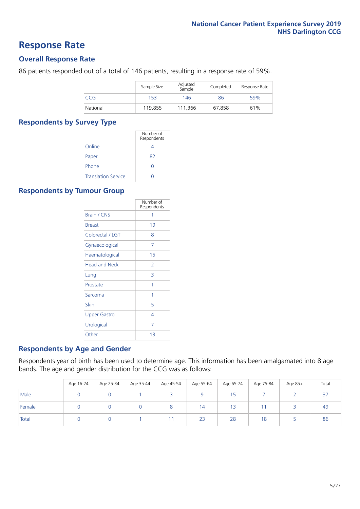### **Response Rate**

### **Overall Response Rate**

86 patients responded out of a total of 146 patients, resulting in a response rate of 59%.

|          | Sample Size | Adjusted<br>Sample | Completed | Response Rate |
|----------|-------------|--------------------|-----------|---------------|
| CCG      | 153         | 146                | 86        | 59%           |
| National | 119.855     | 111.366            | 67.858    | 61%           |

### **Respondents by Survey Type**

|                            | Number of<br>Respondents |
|----------------------------|--------------------------|
| Online                     |                          |
| Paper                      | 82                       |
| Phone                      |                          |
| <b>Translation Service</b> |                          |

### **Respondents by Tumour Group**

|                      | Number of<br>Respondents |
|----------------------|--------------------------|
| <b>Brain / CNS</b>   | 1                        |
| <b>Breast</b>        | 19                       |
| Colorectal / LGT     | 8                        |
| Gynaecological       | 7                        |
| Haematological       | 15                       |
| <b>Head and Neck</b> | $\mathcal{P}$            |
| Lung                 | 3                        |
| Prostate             | 1                        |
| Sarcoma              | 1                        |
| Skin                 | 5                        |
| <b>Upper Gastro</b>  | 4                        |
| Urological           | 7                        |
| Other                | 13                       |

### **Respondents by Age and Gender**

Respondents year of birth has been used to determine age. This information has been amalgamated into 8 age bands. The age and gender distribution for the CCG was as follows:

|        | Age 16-24 | Age 25-34 | Age 35-44 | Age 45-54 | Age 55-64 | Age 65-74 | Age 75-84 | Age 85+ | Total |
|--------|-----------|-----------|-----------|-----------|-----------|-----------|-----------|---------|-------|
| Male   |           |           |           |           |           | 15        |           |         | 37    |
| Female |           |           |           |           | 14        | 13        |           |         | 49    |
| Total  |           |           |           |           | 23        | 28        | 18        |         | 86    |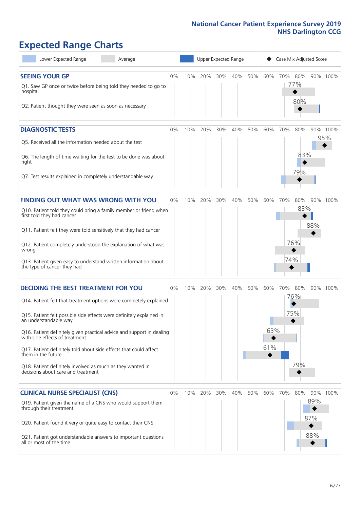# **Expected Range Charts**

| Lower Expected Range<br>Average                                                                                                                                                                                                                                                                                                                                                                                                                                                                                             |       |     |     | Upper Expected Range |     |     |                   |            | Case Mix Adjusted Score |                          |                 |
|-----------------------------------------------------------------------------------------------------------------------------------------------------------------------------------------------------------------------------------------------------------------------------------------------------------------------------------------------------------------------------------------------------------------------------------------------------------------------------------------------------------------------------|-------|-----|-----|----------------------|-----|-----|-------------------|------------|-------------------------|--------------------------|-----------------|
| <b>SEEING YOUR GP</b><br>Q1. Saw GP once or twice before being told they needed to go to<br>hospital<br>Q2. Patient thought they were seen as soon as necessary                                                                                                                                                                                                                                                                                                                                                             | 0%    | 10% | 20% | 30% 40%              |     | 50% | 60%               | 70%        | 80%<br>77%<br>80%       |                          | 90% 100%        |
| <b>DIAGNOSTIC TESTS</b><br>Q5. Received all the information needed about the test<br>Q6. The length of time waiting for the test to be done was about<br>right<br>Q7. Test results explained in completely understandable way                                                                                                                                                                                                                                                                                               | 0%    | 10% | 20% | 30%                  | 40% | 50% | 60%               | 70%        | 80%<br>83%<br>79%       |                          | 90% 100%<br>95% |
| <b>FINDING OUT WHAT WAS WRONG WITH YOU</b><br>Q10. Patient told they could bring a family member or friend when<br>first told they had cancer<br>Q11. Patient felt they were told sensitively that they had cancer<br>Q12. Patient completely understood the explanation of what was<br>wrong<br>Q13. Patient given easy to understand written information about<br>the type of cancer they had                                                                                                                             | 0%    | 10% | 20% | 30%                  | 40% | 50% | 60%               | 70%<br>74% | 80%<br>83%<br>76%       | 88%                      | 90% 100%        |
| <b>DECIDING THE BEST TREATMENT FOR YOU</b><br>Q14. Patient felt that treatment options were completely explained<br>Q15. Patient felt possible side effects were definitely explained in<br>an understandable way<br>Q16. Patient definitely given practical advice and support in dealing<br>with side effects of treatment<br>Q17. Patient definitely told about side effects that could affect<br>them in the future<br>Q18. Patient definitely involved as much as they wanted in<br>decisions about care and treatment | $0\%$ | 10% | 20% | 30%                  | 40% | 50% | 60%<br>63%<br>61% | 70% 80%    | 76%<br>75%<br>79%       |                          | 90% 100%        |
| <b>CLINICAL NURSE SPECIALIST (CNS)</b><br>Q19. Patient given the name of a CNS who would support them<br>through their treatment<br>Q20. Patient found it very or quite easy to contact their CNS<br>Q21. Patient got understandable answers to important questions<br>all or most of the time                                                                                                                                                                                                                              | 0%    | 10% | 20% | 30%                  | 40% | 50% | 60%               | 70%        | 80%                     | 90%<br>89%<br>87%<br>88% | 100%            |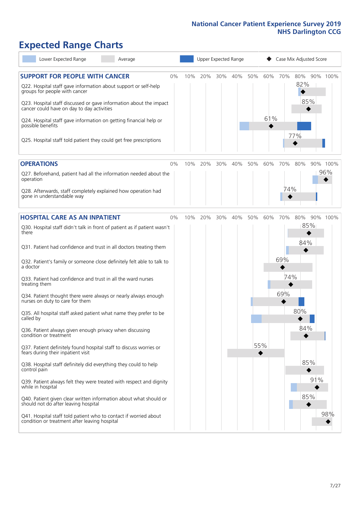# **Expected Range Charts**

| Lower Expected Range<br>Average                                                                                                                                                                                                                                                                                                                                                                                               |    |     |     |     | Upper Expected Range |     |            |     | Case Mix Adjusted Score  |     |                 |
|-------------------------------------------------------------------------------------------------------------------------------------------------------------------------------------------------------------------------------------------------------------------------------------------------------------------------------------------------------------------------------------------------------------------------------|----|-----|-----|-----|----------------------|-----|------------|-----|--------------------------|-----|-----------------|
| <b>SUPPORT FOR PEOPLE WITH CANCER</b><br>Q22. Hospital staff gave information about support or self-help<br>groups for people with cancer<br>Q23. Hospital staff discussed or gave information about the impact<br>cancer could have on day to day activities<br>Q24. Hospital staff gave information on getting financial help or<br>possible benefits<br>Q25. Hospital staff told patient they could get free prescriptions | 0% | 10% | 20% | 30% | 40%                  | 50% | 60%<br>61% | 70% | 80%<br>82%<br>85%<br>77% |     | 90% 100%        |
| <b>OPERATIONS</b><br>Q27. Beforehand, patient had all the information needed about the                                                                                                                                                                                                                                                                                                                                        | 0% | 10% | 20% | 30% | 40%                  | 50% | 60%        | 70% | 80%                      |     | 90% 100%<br>96% |
| operation<br>Q28. Afterwards, staff completely explained how operation had<br>gone in understandable way                                                                                                                                                                                                                                                                                                                      |    |     |     |     |                      |     |            | 74% |                          |     |                 |
| <b>HOSPITAL CARE AS AN INPATIENT</b>                                                                                                                                                                                                                                                                                                                                                                                          | 0% | 10% | 20% | 30% | 40%                  | 50% | 60%        | 70% | 80%                      |     | 90% 100%        |
| Q30. Hospital staff didn't talk in front of patient as if patient wasn't<br>there                                                                                                                                                                                                                                                                                                                                             |    |     |     |     |                      |     |            |     | 85%<br>84%               |     |                 |
| Q31. Patient had confidence and trust in all doctors treating them                                                                                                                                                                                                                                                                                                                                                            |    |     |     |     |                      |     |            | 69% |                          |     |                 |
| Q32. Patient's family or someone close definitely felt able to talk to<br>a doctor                                                                                                                                                                                                                                                                                                                                            |    |     |     |     |                      |     |            |     |                          |     |                 |
| Q33. Patient had confidence and trust in all the ward nurses<br>treating them                                                                                                                                                                                                                                                                                                                                                 |    |     |     |     |                      |     |            | 74% |                          |     |                 |
| Q34. Patient thought there were always or nearly always enough<br>nurses on duty to care for them                                                                                                                                                                                                                                                                                                                             |    |     |     |     |                      |     |            | 69% |                          |     |                 |
| Q35. All hospital staff asked patient what name they prefer to be<br>called by                                                                                                                                                                                                                                                                                                                                                |    |     |     |     |                      |     |            |     | 80%                      |     |                 |
| Q36. Patient always given enough privacy when discussing<br>condition or treatment                                                                                                                                                                                                                                                                                                                                            |    |     |     |     |                      |     |            |     | 84%                      |     |                 |
| Q37. Patient definitely found hospital staff to discuss worries or<br>fears during their inpatient visit                                                                                                                                                                                                                                                                                                                      |    |     |     |     |                      |     | 55%        |     |                          |     |                 |
| Q38. Hospital staff definitely did everything they could to help<br>control pain                                                                                                                                                                                                                                                                                                                                              |    |     |     |     |                      |     |            |     | 85%                      |     |                 |
| Q39. Patient always felt they were treated with respect and dignity<br>while in hospital                                                                                                                                                                                                                                                                                                                                      |    |     |     |     |                      |     |            |     |                          | 91% |                 |
| Q40. Patient given clear written information about what should or<br>should not do after leaving hospital                                                                                                                                                                                                                                                                                                                     |    |     |     |     |                      |     |            |     | 85%                      |     |                 |
| Q41. Hospital staff told patient who to contact if worried about<br>condition or treatment after leaving hospital                                                                                                                                                                                                                                                                                                             |    |     |     |     |                      |     |            |     |                          |     | 98%             |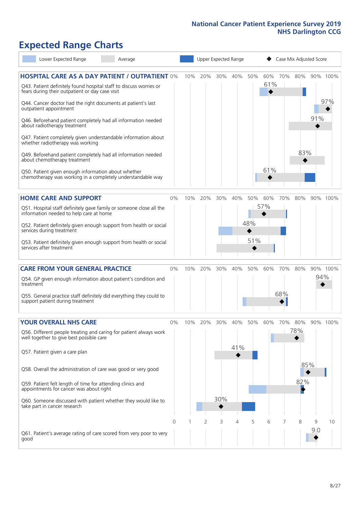# **Expected Range Charts**

| Lower Expected Range                                                                                                  | Average |       |     |         |     | Upper Expected Range |     | Case Mix Adjusted Score |     |     |     |          |
|-----------------------------------------------------------------------------------------------------------------------|---------|-------|-----|---------|-----|----------------------|-----|-------------------------|-----|-----|-----|----------|
| <b>HOSPITAL CARE AS A DAY PATIENT / OUTPATIENT 0%</b>                                                                 |         |       | 10% | 20%     | 30% | 40%                  | 50% | 60%                     | 70% | 80% |     | 90% 100% |
| Q43. Patient definitely found hospital staff to discuss worries or<br>fears during their outpatient or day case visit |         |       |     |         |     |                      |     | 61%                     |     |     |     |          |
| Q44. Cancer doctor had the right documents at patient's last<br>outpatient appointment                                |         |       |     |         |     |                      |     |                         |     |     |     | 97%      |
| Q46. Beforehand patient completely had all information needed<br>about radiotherapy treatment                         |         |       |     |         |     |                      |     |                         |     |     | 91% |          |
| Q47. Patient completely given understandable information about<br>whether radiotherapy was working                    |         |       |     |         |     |                      |     |                         |     |     |     |          |
| Q49. Beforehand patient completely had all information needed<br>about chemotherapy treatment                         |         |       |     |         |     |                      |     |                         |     | 83% |     |          |
| Q50. Patient given enough information about whether<br>chemotherapy was working in a completely understandable way    |         |       |     |         |     |                      |     | 61%                     |     |     |     |          |
| <b>HOME CARE AND SUPPORT</b>                                                                                          |         | 0%    | 10% | 20%     | 30% | 40%                  | 50% | 60%                     | 70% | 80% |     | 90% 100% |
| Q51. Hospital staff definitely gave family or someone close all the<br>information needed to help care at home        |         |       |     |         |     |                      |     | 57%                     |     |     |     |          |
| Q52. Patient definitely given enough support from health or social<br>services during treatment                       |         |       |     |         |     |                      | 48% |                         |     |     |     |          |
| Q53. Patient definitely given enough support from health or social<br>services after treatment                        |         |       |     |         |     |                      | 51% |                         |     |     |     |          |
| <b>CARE FROM YOUR GENERAL PRACTICE</b>                                                                                |         | $0\%$ |     | 10% 20% | 30% | 40%                  | 50% | 60%                     | 70% | 80% |     | 90% 100% |
| Q54. GP given enough information about patient's condition and<br>treatment                                           |         |       |     |         |     |                      |     |                         |     |     | 94% |          |
| Q55. General practice staff definitely did everything they could to<br>support patient during treatment               |         |       |     |         |     |                      |     |                         | 68% |     |     |          |
| <b>YOUR OVERALL NHS CARE</b>                                                                                          |         | $0\%$ | 10% | 20%     | 30% | 40%                  | 50% | 60%                     | 70% | 80% |     | 90% 100% |
| Q56. Different people treating and caring for patient always work<br>well together to give best possible care         |         |       |     |         |     |                      |     |                         |     | 78% |     |          |
| Q57. Patient given a care plan                                                                                        |         |       |     |         |     | 41%                  |     |                         |     |     |     |          |
| Q58. Overall the administration of care was good or very good                                                         |         |       |     |         |     |                      |     |                         |     | 85% |     |          |
| Q59. Patient felt length of time for attending clinics and<br>appointments for cancer was about right                 |         |       |     |         |     |                      |     |                         |     | 82% |     |          |
| Q60. Someone discussed with patient whether they would like to<br>take part in cancer research                        |         |       |     |         | 30% |                      |     |                         |     |     |     |          |
|                                                                                                                       |         | 0     |     | 2       | 3   | 4                    | 5   | 6                       |     | 8   | 9   | 10       |
| Q61. Patient's average rating of care scored from very poor to very<br>good                                           |         |       |     |         |     |                      |     |                         |     |     | 9:0 |          |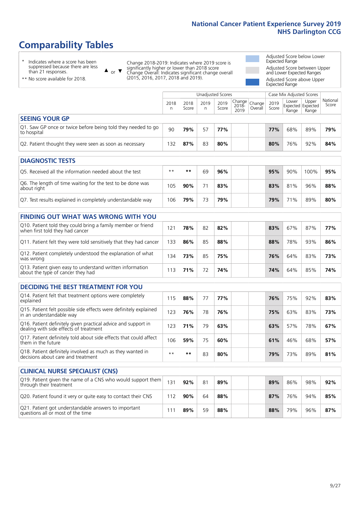# **Comparability Tables**

\* Indicates where a score has been suppressed because there are less than 21 responses.

\*\* No score available for 2018.

 $\triangle$  or  $\nabla$ 

Change 2018-2019: Indicates where 2019 score is significantly higher or lower than 2018 score Change Overall: Indicates significant change overall (2015, 2016, 2017, 2018 and 2019).

Adjusted Score below Lower Expected Range Adjusted Score between Upper and Lower Expected Ranges Adjusted Score above Upper

Expected Range

|                                                                             |           |               | Unadjusted Scores |               |                                                  |         |               | Case Mix Adjusted Scores            |                |                   |
|-----------------------------------------------------------------------------|-----------|---------------|-------------------|---------------|--------------------------------------------------|---------|---------------|-------------------------------------|----------------|-------------------|
|                                                                             | 2018<br>n | 2018<br>Score | 2019<br>n.        | 2019<br>Score | $\sqrt{(\text{Change})}$ Change<br>2018-<br>2019 | Overall | 2019<br>Score | Lower<br>Expected Expected<br>Range | Upper<br>Range | National<br>Score |
| <b>SEEING YOUR GP</b>                                                       |           |               |                   |               |                                                  |         |               |                                     |                |                   |
| Q1. Saw GP once or twice before being told they needed to go<br>to hospital | 90        | 79%           | 57                | 77%           |                                                  |         | 77%           | 68%                                 | 89%            | 79%               |
| Q2. Patient thought they were seen as soon as necessary                     | 132       | 87%           | 83                | 80%           |                                                  |         | 80%           | 76%                                 | 92%            | 84%               |
| <b>DIAGNOSTIC TESTS</b>                                                     |           |               |                   |               |                                                  |         |               |                                     |                |                   |

| Q5. Received all the information needed about the test                    | $**$ | **  | 69 | 96% |  | 95% | 90% | 100% | 95% |
|---------------------------------------------------------------------------|------|-----|----|-----|--|-----|-----|------|-----|
| Q6. The length of time waiting for the test to be done was<br>about right | 105  | 90% |    | 83% |  | 83% | 81% | 96%  | 88% |
| Q7. Test results explained in completely understandable way               | 106  | 79% | 73 | 79% |  | 79% | 71% | 89%  | 80% |

| <b>FINDING OUT WHAT WAS WRONG WITH YOU</b>                                                      |     |     |    |     |     |     |     |     |
|-------------------------------------------------------------------------------------------------|-----|-----|----|-----|-----|-----|-----|-----|
| Q10. Patient told they could bring a family member or friend<br>when first told they had cancer | 121 | 78% | 82 | 82% | 83% | 67% | 87% | 77% |
| Q11. Patient felt they were told sensitively that they had cancer                               | 133 | 86% | 85 | 88% | 88% | 78% | 93% | 86% |
| Q12. Patient completely understood the explanation of what<br>was wrong                         | 134 | 73% | 85 | 75% | 76% | 64% | 83% | 73% |
| Q13. Patient given easy to understand written information<br>about the type of cancer they had  | 13  | 71% | 72 | 74% | 74% | 64% | 85% | 74% |

| <b>DECIDING THE BEST TREATMENT FOR YOU</b>                                                              |      |     |    |     |     |     |     |     |
|---------------------------------------------------------------------------------------------------------|------|-----|----|-----|-----|-----|-----|-----|
| Q14. Patient felt that treatment options were completely<br>explained                                   | 115  | 88% | 77 | 77% | 76% | 75% | 92% | 83% |
| Q15. Patient felt possible side effects were definitely explained<br>in an understandable way           | 123  | 76% | 78 | 76% | 75% | 63% | 83% | 73% |
| Q16. Patient definitely given practical advice and support in<br>dealing with side effects of treatment | 123  | 71% | 79 | 63% | 63% | 57% | 78% | 67% |
| Q17. Patient definitely told about side effects that could affect<br>them in the future                 | 106  | 59% | 75 | 60% | 61% | 46% | 68% | 57% |
| Q18. Patient definitely involved as much as they wanted in<br>decisions about care and treatment        | $**$ | **  | 83 | 80% | 79% | 73% | 89% | 81% |

| <b>CLINICAL NURSE SPECIALIST (CNS)</b>                                                    |     |     |    |     |     |     |     |     |
|-------------------------------------------------------------------------------------------|-----|-----|----|-----|-----|-----|-----|-----|
| Q19. Patient given the name of a CNS who would support them<br>through their treatment    | 131 | 92% | 81 | 89% | 89% | 86% | 98% | 92% |
| Q20. Patient found it very or quite easy to contact their CNS                             | 112 | 90% | 64 | 88% | 87% | 76% | 94% | 85% |
| Q21. Patient got understandable answers to important<br>questions all or most of the time |     | 89% | 59 | 88% | 88% | 79% | 96% | 87% |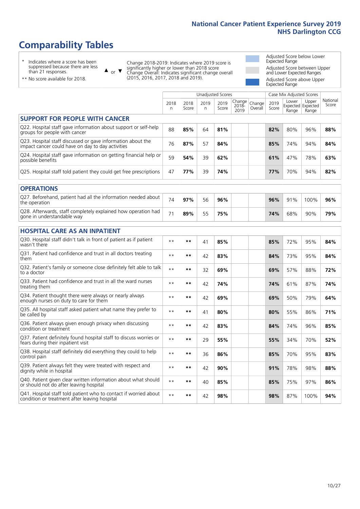# **Comparability Tables**

\* Indicates where a score has been suppressed because there are less than 21 responses.

\*\* No score available for 2018.

 $\triangle$  or  $\nabla$ 

Change 2018-2019: Indicates where 2019 score is significantly higher or lower than 2018 score Change Overall: Indicates significant change overall (2015, 2016, 2017, 2018 and 2019).

Adjusted Score below Lower Expected Range Adjusted Score between Upper and Lower Expected Ranges Adjusted Score above Upper Expected Range

|                                                                                                                   |              |               |            | <b>Unadjusted Scores</b> |                         |                   |               | Case Mix Adjusted Scores |                                     |                   |
|-------------------------------------------------------------------------------------------------------------------|--------------|---------------|------------|--------------------------|-------------------------|-------------------|---------------|--------------------------|-------------------------------------|-------------------|
|                                                                                                                   | 2018<br>n    | 2018<br>Score | 2019<br>n. | 2019<br>Score            | Change<br>2018-<br>2019 | Change<br>Overall | 2019<br>Score | Lower<br>Range           | Upper<br>Expected Expected<br>Range | National<br>Score |
| <b>SUPPORT FOR PEOPLE WITH CANCER</b>                                                                             |              |               |            |                          |                         |                   |               |                          |                                     |                   |
| Q22. Hospital staff gave information about support or self-help<br>groups for people with cancer                  | 88           | 85%           | 64         | 81%                      |                         |                   | 82%           | 80%                      | 96%                                 | 88%               |
| Q23. Hospital staff discussed or gave information about the<br>impact cancer could have on day to day activities  | 76           | 87%           | 57         | 84%                      |                         |                   | 85%           | 74%                      | 94%                                 | 84%               |
| Q24. Hospital staff gave information on getting financial help or<br>possible benefits                            | 59           | 54%           | 39         | 62%                      |                         |                   | 61%           | 47%                      | 78%                                 | 63%               |
| Q25. Hospital staff told patient they could get free prescriptions                                                | 47           | 77%           | 39         | 74%                      |                         |                   | 77%           | 70%                      | 94%                                 | 82%               |
| <b>OPERATIONS</b>                                                                                                 |              |               |            |                          |                         |                   |               |                          |                                     |                   |
| Q27. Beforehand, patient had all the information needed about<br>the operation                                    | 74           | 97%           | 56         | 96%                      |                         |                   | 96%           | 91%                      | 100%                                | 96%               |
| Q28. Afterwards, staff completely explained how operation had<br>gone in understandable way                       | 71           | 89%           | 55         | 75%                      |                         |                   | 74%           | 68%                      | 90%                                 | 79%               |
| <b>HOSPITAL CARE AS AN INPATIENT</b>                                                                              |              |               |            |                          |                         |                   |               |                          |                                     |                   |
| Q30. Hospital staff didn't talk in front of patient as if patient<br>wasn't there                                 | $\star\star$ | **            | 41         | 85%                      |                         |                   | 85%           | 72%                      | 95%                                 | 84%               |
| Q31. Patient had confidence and trust in all doctors treating<br>them                                             | $\star\star$ | **            | 42         | 83%                      |                         |                   | 84%           | 73%                      | 95%                                 | 84%               |
| Q32. Patient's family or someone close definitely felt able to talk<br>to a doctor                                | $\star\star$ | **            | 32         | 69%                      |                         |                   | 69%           | 57%                      | 88%                                 | 72%               |
| Q33. Patient had confidence and trust in all the ward nurses<br>treating them                                     | $***$        | **            | 42         | 74%                      |                         |                   | 74%           | 61%                      | 87%                                 | 74%               |
| Q34. Patient thought there were always or nearly always<br>enough nurses on duty to care for them                 | $***$        | **            | 42         | 69%                      |                         |                   | 69%           | 50%                      | 79%                                 | 64%               |
| Q35. All hospital staff asked patient what name they prefer to<br>be called by                                    | $\star\star$ | **            | 41         | 80%                      |                         |                   | 80%           | 55%                      | 86%                                 | 71%               |
| Q36. Patient always given enough privacy when discussing<br>condition or treatment                                | $\star\star$ | **            | 42         | 83%                      |                         |                   | 84%           | 74%                      | 96%                                 | 85%               |
| Q37. Patient definitely found hospital staff to discuss worries or<br>fears during their inpatient visit          | $\star\star$ | **            | 29         | 55%                      |                         |                   | 55%           | 34%                      | 70%                                 | 52%               |
| Q38. Hospital staff definitely did everything they could to help<br>control pain                                  | $\star\star$ | $***$         | 36         | 86%                      |                         |                   | 85%           | 70%                      | 95%                                 | 83%               |
| Q39. Patient always felt they were treated with respect and<br>dignity while in hospital                          | $\star\star$ | **            | 42         | 90%                      |                         |                   | 91%           | 78%                      | 98%                                 | 88%               |
| Q40. Patient given clear written information about what should<br>or should not do after leaving hospital         | $\star\star$ | **            | 40         | 85%                      |                         |                   | 85%           | 75%                      | 97%                                 | 86%               |
| Q41. Hospital staff told patient who to contact if worried about<br>condition or treatment after leaving hospital | $**$         | **            | 42         | 98%                      |                         |                   | 98%           | 87%                      | 100%                                | 94%               |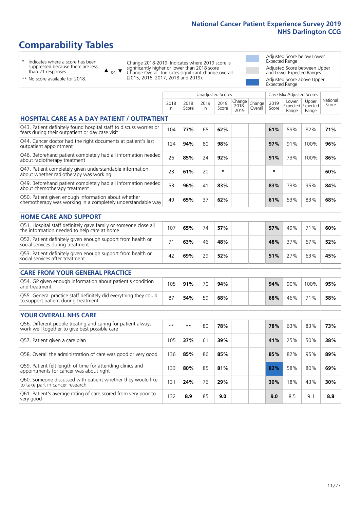# **Comparability Tables**

\* Indicates where a score has been suppressed because there are less than 21 responses.

\*\* No score available for 2018.

 $\triangle$  or  $\nabla$ 

Change 2018-2019: Indicates where 2019 score is significantly higher or lower than 2018 score Change Overall: Indicates significant change overall (2015, 2016, 2017, 2018 and 2019).

Adjusted Score below Lower Expected Range Adjusted Score between Upper and Lower Expected Ranges Adjusted Score above Upper Expected Range

|                                                                                                                       |              |               |           | Unadjusted Scores |                         |                   |               | Case Mix Adjusted Scores |                                     |                   |
|-----------------------------------------------------------------------------------------------------------------------|--------------|---------------|-----------|-------------------|-------------------------|-------------------|---------------|--------------------------|-------------------------------------|-------------------|
|                                                                                                                       | 2018<br>n.   | 2018<br>Score | 2019<br>n | 2019<br>Score     | Change<br>2018-<br>2019 | Change<br>Overall | 2019<br>Score | Lower<br>Range           | Upper<br>Expected Expected<br>Range | National<br>Score |
| <b>HOSPITAL CARE AS A DAY PATIENT / OUTPATIENT</b>                                                                    |              |               |           |                   |                         |                   |               |                          |                                     |                   |
| Q43. Patient definitely found hospital staff to discuss worries or<br>fears during their outpatient or day case visit | 104          | 77%           | 65        | 62%               |                         |                   | 61%           | 59%                      | 82%                                 | 71%               |
| Q44. Cancer doctor had the right documents at patient's last<br>outpatient appointment                                | 124          | 94%           | 80        | 98%               |                         |                   | 97%           | 91%                      | 100%                                | 96%               |
| Q46. Beforehand patient completely had all information needed<br>about radiotherapy treatment                         | 26           | 85%           | 24        | 92%               |                         |                   | 91%           | 73%                      | 100%                                | 86%               |
| Q47. Patient completely given understandable information<br>about whether radiotherapy was working                    | 23           | 61%           | 20        | $\star$           |                         |                   | $\star$       |                          |                                     | 60%               |
| Q49. Beforehand patient completely had all information needed<br>about chemotherapy treatment                         | 53           | 96%           | 41        | 83%               |                         |                   | 83%           | 73%                      | 95%                                 | 84%               |
| Q50. Patient given enough information about whether<br>chemotherapy was working in a completely understandable way    | 49           | 65%           | 37        | 62%               |                         |                   | 61%           | 53%                      | 83%                                 | 68%               |
| <b>HOME CARE AND SUPPORT</b>                                                                                          |              |               |           |                   |                         |                   |               |                          |                                     |                   |
| Q51. Hospital staff definitely gave family or someone close all<br>the information needed to help care at home        | 107          | 65%           | 74        | 57%               |                         |                   | 57%           | 49%                      | 71%                                 | 60%               |
| Q52. Patient definitely given enough support from health or<br>social services during treatment                       | 71           | 63%           | 46        | 48%               |                         |                   | 48%           | 37%                      | 67%                                 | 52%               |
| Q53. Patient definitely given enough support from health or<br>social services after treatment                        | 42           | 69%           | 29        | 52%               |                         |                   | 51%           | 27%                      | 63%                                 | 45%               |
| <b>CARE FROM YOUR GENERAL PRACTICE</b>                                                                                |              |               |           |                   |                         |                   |               |                          |                                     |                   |
| Q54. GP given enough information about patient's condition<br>and treatment                                           | 105          | 91%           | 70        | 94%               |                         |                   | 94%           | 90%                      | 100%                                | 95%               |
| Q55. General practice staff definitely did everything they could<br>to support patient during treatment               | 87           | 54%           | 59        | 68%               |                         |                   | 68%           | 46%                      | 71%                                 | 58%               |
| <b>YOUR OVERALL NHS CARE</b>                                                                                          |              |               |           |                   |                         |                   |               |                          |                                     |                   |
| Q56. Different people treating and caring for patient always<br>work well together to give best possible care         | $\star\star$ | **            | 80        | 78%               |                         |                   | 78%           | 63%                      | 83%                                 | 73%               |
| Q57. Patient given a care plan                                                                                        | 105          | 37%           | 61        | 39%               |                         |                   | 41%           | 25%                      | 50%                                 | 38%               |
| Q58. Overall the administration of care was good or very good                                                         | 136          | 85%           | 86        | 85%               |                         |                   | 85%           | 82%                      | 95%                                 | 89%               |
| Q59. Patient felt length of time for attending clinics and<br>appointments for cancer was about right                 | 133          | 80%           | 85        | 81%               |                         |                   | 82%           | 58%                      | 80%                                 | 69%               |
| Q60. Someone discussed with patient whether they would like<br>to take part in cancer research                        | 131          | 24%           | 76        | 29%               |                         |                   | 30%           | 18%                      | 43%                                 | 30%               |
| Q61. Patient's average rating of care scored from very poor to<br>very good                                           | 132          | 8.9           | 85        | 9.0               |                         |                   | 9.0           | 8.5                      | 9.1                                 | 8.8               |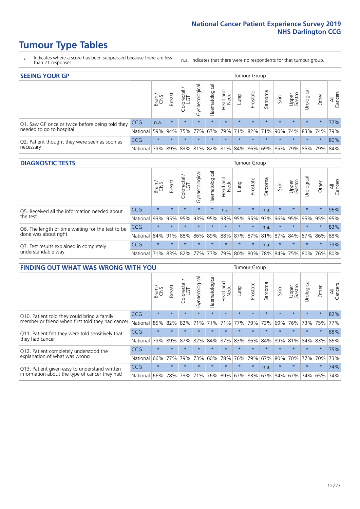# **Tumour Type Tables**

- \* Indicates where a score has been suppressed because there are less than 21 responses.
- n.a. Indicates that there were no respondents for that tumour group.

| <b>SEEING YOUR GP</b>                           |                 |              |               |                   |                |                |                  |         | Tumour Group |         |         |                 |                                                 |         |                |
|-------------------------------------------------|-----------------|--------------|---------------|-------------------|----------------|----------------|------------------|---------|--------------|---------|---------|-----------------|-------------------------------------------------|---------|----------------|
|                                                 |                 | Brain<br>CNS | <b>Breast</b> | Colorectal<br>LGT | Gynaecological | Haematological | Head and<br>Neck | Lung    | Prostate     | Sarcoma | Skin    | Upper<br>Gastro | Irological                                      | Other   | All<br>Cancers |
| Q1. Saw GP once or twice before being told they | <b>CCG</b>      | n.a.         | $\star$       | $\star$           | $\star$        | $\star$        | $\star$          | $\star$ | $\star$      | $\star$ | $\star$ | $\star$         | $\star$                                         | $\star$ | 77%            |
| needed to go to hospital                        | National I      | 59%          |               |                   |                |                |                  |         |              |         |         |                 | 94% 75% 77% 67% 79% 71% 82% 71% 90% 74% 83% 74% |         | 79%            |
| Q2. Patient thought they were seen as soon as   | <b>CCG</b>      | $\star$      | $\star$       | $\star$           | $\star$        | $\star$        | $\star$          | $\star$ | $\star$      | $\star$ | $\star$ | $\star$         | $\star$                                         | $\star$ | 80%            |
| necessary                                       | <b>National</b> | 79%          |               |                   |                |                |                  |         |              |         |         |                 | 89% 83% 81% 82% 81% 84% 86% 69% 85% 79% 85% 79% |         | 84%            |

#### **DIAGNOSTIC TESTS** Tumour Group

|                                                   |                                          | Brain<br>CNS | <b>Breast</b> | Colorectal | ᅙ<br>Gynaecologic | Haematological | Head and<br>Neck | Lung        | Prostate | Sarcoma | Skin    | Upper<br>Gastro | rological                                   | Other   | All<br>Cancers |
|---------------------------------------------------|------------------------------------------|--------------|---------------|------------|-------------------|----------------|------------------|-------------|----------|---------|---------|-----------------|---------------------------------------------|---------|----------------|
| Q5. Received all the information needed about     | <b>CCG</b>                               | $\star$      |               | $\star$    | $\star$           | $\star$        | n.a.             | $\star$     | $\star$  | n.a.    |         | $\star$         | $\star$                                     | $\star$ | 96%            |
| the test                                          | National                                 | 93%          | 95%           | 95%        |                   | 93% 95%        |                  | 93% 95% 95% |          | 93%     | 96%     |                 | 95% 95%                                     | 95%     | 95%            |
| Q6. The length of time waiting for the test to be | <b>CCG</b>                               | $\star$      | $\star$       | $\star$    | $\star$           | $\star$        | $\star$          | $\star$     | $\star$  | n.a.    | $\star$ | $\star$         | $\star$                                     | $\star$ | 83%            |
| done was about right                              | National                                 |              | 84% 91%       | 88%        |                   |                |                  |             |          |         |         |                 | 86% 89% 88% 87% 87% 81% 87% 84% 87% 86% 88% |         |                |
| Q7. Test results explained in completely          | <b>CCG</b>                               | $\star$      | $\star$       | $\star$    | $\star$           | $\star$        | $\star$          | $\star$     | $\star$  | n.a.    | $\star$ | $\star$         | $\star$                                     | $\star$ | 79%            |
| understandable way                                | National 71% 83% 82% 77% 77% 79% 80% 80% |              |               |            |                   |                |                  |             |          |         |         |                 | 78% 84% 75% 80% 76% 80%                     |         |                |

| <b>FINDING OUT WHAT WAS WRONG WITH YOU</b>        |            |         |               |                             |                |                |                        |         | <b>Tumour Group</b> |         |         |                 |            |         |                |
|---------------------------------------------------|------------|---------|---------------|-----------------------------|----------------|----------------|------------------------|---------|---------------------|---------|---------|-----------------|------------|---------|----------------|
|                                                   |            | Brain   | <b>Breast</b> | ╮<br>olorectal.<br>LGT<br>Ũ | Gynaecological | Haematological | ad and<br>Neck<br>Head | Lung    | Prostate            | Sarcoma | Skin    | Upper<br>Gastro | Jrological | Other   | All<br>Cancers |
| Q10. Patient told they could bring a family       | <b>CCG</b> | $\star$ | $\star$       | $\star$                     | $\star$        | $\star$        | $\star$                | $\star$ | $\star$             | $\star$ | $\star$ | $\star$         | $\star$    | $\star$ | 82%            |
| member or friend when first told they had cancer  | National   | 85%     | 82%           | 82%                         | 71%            | 71%            | 71%                    | 77%     | 79%                 | 73%     | 69%     | 76%             | 73%        | 75%     | 77%            |
| Q11. Patient felt they were told sensitively that | <b>CCG</b> | $\star$ | $\star$       | $\star$                     |                | $\star$        | $\star$                | $\star$ | $\star$             | $\star$ | $\star$ | $\star$         | $\star$    | $\star$ | 88%            |
| they had cancer                                   | National   | 79%     | 89%           | 87%                         | 82%            | 84% 87% 83%    |                        |         | 86%                 | 84%     | 89%     | 81%             | 84% 83%    |         | 86%            |
| Q12. Patient completely understood the            | <b>CCG</b> | $\star$ | $\star$       | $\star$                     |                | $\star$        | $\star$                | $\star$ | $\star$             | $\star$ | $\star$ | $\star$         | $\star$    | $\star$ | 75%            |
| explanation of what was wrong                     | National   | 66%     | 77%           | 79%                         | 73%            | 60%            | 78%                    | 76%     | 79%                 | 67%     | 80%     | 70%             | 77%        | 70%     | 73%            |
| Q13. Patient given easy to understand written     | <b>CCG</b> | $\star$ | $\star$       | $\star$                     | $\star$        | $\star$        | $\star$                | $\star$ | $\star$             | n.a.    | $\star$ | $\star$         | $\star$    | $\star$ | 74%            |
| information about the type of cancer they had     | National   | 66%     | 78%           | 73%                         | 71%            | 76%            |                        |         | 69% 67% 83%         | 67%     | 84%     |                 | 67% 74%    | 65%     | 74%            |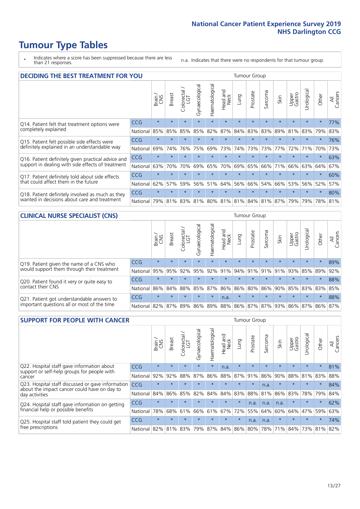# **Tumour Type Tables**

- \* Indicates where a score has been suppressed because there are less than 21 responses.
- n.a. Indicates that there were no respondents for that tumour group.

| <b>DECIDING THE BEST TREATMENT FOR YOU</b>         |              |              |                      |            |                |                       |                         |         | Tumour Group |                                     |         |                 |            |             |                |
|----------------------------------------------------|--------------|--------------|----------------------|------------|----------------|-----------------------|-------------------------|---------|--------------|-------------------------------------|---------|-----------------|------------|-------------|----------------|
|                                                    |              | Brain<br>CNS | <b>Breast</b>        | Colorectal | Gynaecological | <b>Haematological</b> | ead and<br>Neck<br>Head | Lung    | Prostate     | Sarcoma                             | Skin    | Upper<br>Gastro | Urological | Other       | All<br>Cancers |
| Q14. Patient felt that treatment options were      | CCG          | $\star$      | $\star$              | $\star$    | $\star$        | $\star$               | $\star$                 | $\star$ | $\star$      | $\star$                             | $\star$ | $\star$         | $\star$    | $\star$     | 77%            |
| completely explained                               | National     | 85%          | 85%                  | 85%        | 85%            | 82%                   | 87%                     | 84%     | 83%          | 83%                                 | 89%     | 81%             | 83%        | 79%         | 83%            |
| Q15. Patient felt possible side effects were       | CCG          | $\star$      | 大                    |            |                |                       | $\star$                 |         | $\star$      |                                     |         | $\star$         |            | $\star$     | 76%            |
| definitely explained in an understandable way      | National     | 69%          | 74%                  | 76%        | 75%            | 69%                   | 73%                     | 74%     | 73%          | 73%                                 | 77%     | 72%             | 71%        | 70%         | 73%            |
| Q16. Patient definitely given practical advice and | CCG          | $\star$      |                      |            |                |                       | $\star$                 |         | $\star$      |                                     |         |                 |            | $\star$     | 63%            |
| support in dealing with side effects of treatment  | National     | 63%          | 70%                  | 70%        | 69%            | 65%                   | 70%                     | 69%     | 65%          | 66%                                 | 71%     | 66%             | 63%        | 64%         | 67%            |
| Q17. Patient definitely told about side effects    | CCG          | $\star$      | $\ddot{\phantom{1}}$ |            |                |                       | $\star$                 |         | $\star$      |                                     |         | $\star$         | $\star$    | $\star$     | 60%            |
| that could affect them in the future               | National     | 62%          | 57%                  | 59%        | 56%            | 51%                   | 64%                     | 56%     | 66%          | 54%                                 | 66%     | 53%             | 56%        | 52%         | 57%            |
| Q18. Patient definitely involved as much as they   | CCG          | $\star$      | $\star$              | $\star$    | $\star$        | $\star$               | $\star$                 | $\star$ | $\star$      | $\star$                             | $\star$ | $\star$         | $\star$    | $\star$     | 80%            |
| wanted in decisions about care and treatment       | National 79% |              | 81%                  |            |                |                       |                         |         |              | 83% 81% 80% 81% 81% 84% 81% 87% 79% |         |                 |            | 79% 78% 81% |                |

#### **CLINICAL NURSE SPECIALIST (CNS)** Tumour Group

|                                                            |                                                          | Brain   | <b>Breast</b>   | olorectal<br>LGT<br>Ü | $\overline{\sigma}$<br>aecologic<br>$\bar{\xi}$ | ᠊ᢛ<br>ت<br>Haematologi | Head and<br>Neck | <b>Dun</b> | Prostate | Sarcoma | Skin    | Upper<br>Gastro                 | σ<br>rologica | Other   | All<br>Cancers |
|------------------------------------------------------------|----------------------------------------------------------|---------|-----------------|-----------------------|-------------------------------------------------|------------------------|------------------|------------|----------|---------|---------|---------------------------------|---------------|---------|----------------|
| Q19. Patient given the name of a CNS who                   | <b>CCG</b>                                               | $\star$ | $\star$         | $\star$               | $\star$                                         | $\star$                | $\star$          | $\star$    | $\star$  | $\star$ | $\star$ | $\star$                         | $\star$       | $\star$ | 89%            |
| would support them through their treatment                 | National                                                 | 95%     | 95%             | 92%                   | 95%                                             |                        |                  |            |          |         |         | 92% 91% 94% 91% 91% 91% 93%     |               | 85% 89% | 92%            |
| Q20. Patient found it very or quite easy to                | <b>CCG</b>                                               | $\star$ | $\star$         | $\star$               | $\star$                                         | $\star$                | $\star$          | $\star$    | $\star$  | $\star$ |         | $\star$                         | $\star$       | $\star$ | 88%            |
| contact their CNS                                          | National                                                 |         | 86% 84% 88% 85% |                       |                                                 | 87%                    |                  |            |          |         |         | 86% 86% 80% 86% 90% 85% 83% 83% |               |         | 85%            |
| . Patient got understandable answers to<br>O <sub>21</sub> | <b>CCG</b>                                               | $\star$ | $\star$         | $\star$               | $\star$                                         | $\star$                | n.a.             | $\star$    | $\star$  | $\star$ | $\star$ | $\star$                         | $\star$       | $\star$ | 88%            |
| important questions all or most of the time                | National 82% 87% 89% 86% 89% 88% 86% 87% 87% 93% 86% 87% |         |                 |                       |                                                 |                        |                  |            |          |         |         |                                 |               | 86% 87% |                |

| <b>SUPPORT FOR PEOPLE WITH CANCER</b>                                                             |            |         |               |            |                |                |                         |             | Tumour Group |         |         |                 |            |         |                |
|---------------------------------------------------------------------------------------------------|------------|---------|---------------|------------|----------------|----------------|-------------------------|-------------|--------------|---------|---------|-----------------|------------|---------|----------------|
|                                                                                                   |            | Brain   | <b>Breast</b> | Colorectal | Gynaecological | Haematological | ead and<br>Neck<br>Head | <b>Dung</b> | Prostate     | Sarcoma | Skin    | Upper<br>Gastro | Jrological | Other   | All<br>Cancers |
| Q22. Hospital staff gave information about<br>support or self-help groups for people with         | <b>CCG</b> | $\star$ | $\star$       | $\star$    | $\star$        | $\star$        | n.a.                    | $\star$     | $\star$      | $\star$ | $\star$ | $\star$         | $\star$    | $\star$ | 81%            |
| cancer                                                                                            | National   | 92%     | 92%           | 88%        | 87%            | 86%            | 88%                     | 87%         | 91%          | 86%     | 90%     | 88%             | 81%        | 83%     | 88%            |
| Q23. Hospital staff discussed or gave information<br>about the impact cancer could have on day to | CCG        | $\star$ | $\star$       | $\star$    | $\star$        | $\star$        | $\star$                 | $\star$     | $\star$      | n.a.    | $\star$ | $\star$         | $\star$    | $\star$ | 84%            |
| day activities                                                                                    | National   | 84%     | 86%           | 85%        | 82%            | 84%            | 84%                     | 83%         | 88%          | 81%     | 86%     | 83%             | 78%        | 79%     | 84%            |
| Q24. Hospital staff gave information on getting                                                   | <b>CCG</b> | $\star$ |               |            | $\star$        | $\star$        | $\star$                 | $\star$     | n.a.         | n.a.    | n.a.    | $\star$         | $\star$    | $\star$ | 62%            |
| financial help or possible benefits                                                               | National   | 78%     | 68%           | 61%        | 66%            | 61%            | 67%                     | 72%         | 55%          | 64%     | 60%     | 64%             | 47%        | 59%     | 63%            |
| Q25. Hospital staff told patient they could get                                                   | <b>CCG</b> | $\star$ | $\star$       |            | $\star$        |                | $\star$                 | $\star$     | n.a.         | n.a.    | $\star$ | $\star$         |            | $\star$ | 74%            |
| free prescriptions                                                                                | National   | 82%     |               | 81% 83%    | 79%            | 87%            |                         | 84% 86% 80% |              | 78%     | 71%     | 84%             | 73%        | 81%     | 82%            |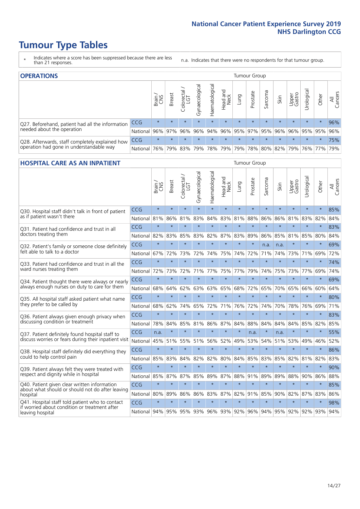# **Tumour Type Tables**

- \* Indicates where a score has been suppressed because there are less than 21 responses.
- n.a. Indicates that there were no respondents for that tumour group.

| <b>OPERATIONS</b>                                |            |               |               |            |                |                |                  |         | Tumour Group            |         |         |                 |                                             |         |                |
|--------------------------------------------------|------------|---------------|---------------|------------|----------------|----------------|------------------|---------|-------------------------|---------|---------|-----------------|---------------------------------------------|---------|----------------|
|                                                  |            | Brain.<br>CNS | <b>Breast</b> | Colorectal | Gynaecological | Haematological | Head and<br>Neck | Lung    | Prostate                | Sarcoma | Skin    | Upper<br>Gastro | Irological                                  | Other   | All<br>Cancers |
| Q27. Beforehand, patient had all the information | CCG        | $\star$       | $\star$       | $\star$    | $\star$        | $\star$        | $\star$          | $\star$ | $\star$                 | $\star$ | $\star$ | $\star$         | $\star$                                     | $\star$ | 96%            |
| needed about the operation                       | National   | 96%           |               | 97% 96%    | 96%            |                |                  |         | 94% 96% 95% 97% 95% 96% |         |         |                 | 96%   95%   95%                             |         | 96%            |
| Q28. Afterwards, staff completely explained how  | <b>CCG</b> | $\star$       | $\star$       | $\star$    | $\star$        | $\star$        | $\star$          | $\star$ | $\star$                 | $\star$ | $\star$ | $\star$         | $\star$                                     | $\star$ | 75%            |
| operation had gone in understandable way         | National   | 76%           |               | 79% 83%    |                |                |                  |         |                         |         |         |                 | 79% 78% 79% 79% 78% 80% 82% 79% 76% 77% 79% |         |                |

### **HOSPITAL CARE AS AN INPATIENT** Tumour Group

|                                                                                                  |              | Brain,  | <b>Breast</b> | Colorectal /<br>LGT | Gynaecological | Haematological      | Head and<br><b>Neck</b> | Lung    | Prostate | Sarcoma | Skin    | Upper<br>Gastro | Urological | Other   | All<br>Cancers |
|--------------------------------------------------------------------------------------------------|--------------|---------|---------------|---------------------|----------------|---------------------|-------------------------|---------|----------|---------|---------|-----------------|------------|---------|----------------|
| Q30. Hospital staff didn't talk in front of patient                                              | CCG          | $\star$ | $\star$       | $\star$             | $\star$        | $\star$             | $\star$                 | $\star$ | $\star$  | $\star$ | $\star$ | $\star$         | $\star$    | $\star$ | 85%            |
| as if patient wasn't there                                                                       | National     | 81%     | 86%           | 81%                 | 83%            | 84%                 | 83%                     | 81%     | 88%      | 86%     | 86%     | 81%             | 83%        | 82%     | 84%            |
| 031. Patient had confidence and trust in all                                                     | CCG          | $\star$ | $\star$       | $\star$             | $\star$        | $\star$             | $\star$                 | $\star$ | $\star$  | $\star$ | $\star$ | $\star$         | $\star$    | $\star$ | 83%            |
| doctors treating them                                                                            | National     | 82%     | 83%           | 85%                 | 83%            | 82%                 | 87%                     | 83%     | 89%      | 86%     | 85%     | 81%             | 85%        | 80%     | 84%            |
| Q32. Patient's family or someone close definitely                                                | CCG          | $\star$ | $\star$       | $\star$             | $\star$        | $\star$             | $\star$                 | $\star$ | $\star$  | n.a.    | n.a.    |                 | $\star$    | $\star$ | 69%            |
| felt able to talk to a doctor                                                                    | National     | 67%     | 72%           | 73%                 | 72%            | 74%                 | 75%                     | 74%     | 72%      | 71%     | 74%     | 73%             | 71%        | 69%     | 72%            |
| Q33. Patient had confidence and trust in all the                                                 | CCG          | $\star$ | $\star$       | $\star$             | $\star$        | $\star$             | $\star$                 | $\star$ | $\star$  | $\star$ | $\star$ | $\star$         | $\star$    | $\star$ | 74%            |
| ward nurses treating them                                                                        | National 72% |         | 73%           | 72%                 |                | 71% 77%             | 75%                     | 77%     | 79%      | 74%     | 75%     | 73%             | 77%        | 69%     | 74%            |
| Q34. Patient thought there were always or nearly                                                 | CCG          | $\star$ | $\star$       | $\star$             | $\star$        | $\star$             | $\star$                 | $\star$ | $\star$  | $\star$ | $\star$ |                 | $\star$    | $\star$ | 69%            |
| always enough nurses on duty to care for them                                                    | National     | 68%     | 64%           | 62%                 | 63%            | 63%                 | 65%                     | 68%     | 72%      | 65%     | 70%     | 65%             | 66%        | 60%     | 64%            |
| Q35. All hospital staff asked patient what name                                                  | CCG          | $\star$ | $\star$       | $\star$             | $\star$        | $\star$             | $\star$                 | $\star$ | $\star$  | $\star$ | $\star$ | $\star$         | $\star$    | $\star$ | 80%            |
| they prefer to be called by                                                                      | National     | 68%     | 62%           | 74%                 | 65%            | 72%                 | 71%                     | 76%     | 72%      | 74%     | 70%     | 78%             | 76%        | 69%     | 71%            |
| Q36. Patient always given enough privacy when                                                    | CCG          | $\star$ | $\star$       | $\star$             | $\star$        | $\star$             | $\star$                 | $\star$ | $\star$  | $\star$ | $\star$ | $\star$         | $\star$    | $\star$ | 83%            |
| discussing condition or treatment                                                                | National     | 78%     | 84%           | 85%                 | 81%            | 86%                 | 87%                     | 84%     | 88%      | 84%     | 84%     | 84%             | 85%        | 82%     | 85%            |
| Q37. Patient definitely found hospital staff to                                                  | CCG          | n.a.    | $\star$       | $\star$             | $\star$        | $\star$             | $\star$                 | $\star$ | n.a.     | $\star$ | n.a.    | $\star$         | $\star$    | $\star$ | 55%            |
| discuss worries or fears during their inpatient visit                                            | National     | 45%     | 51%           |                     | 55% 51%        | 56%                 | 52%                     | 49%     | 53%      | 54%     |         | 51% 53%         | 49%        | 46%     | 52%            |
| Q38. Hospital staff definitely did everything they                                               | CCG          | $\star$ | $\star$       | $\star$             | $\star$        | $\star$             | $\star$                 | $\star$ | $\star$  | $\star$ | $\star$ | $\star$         | $\star$    | $\star$ | 86%            |
| could to help control pain                                                                       | National     | 85%     | 83%           | 84%                 | 82%            | 82%                 | 80%                     | 84%     | 85%      | 83%     | 85%     | 82%             | 81%        | 82%     | 83%            |
| Q39. Patient always felt they were treated with                                                  | CCG          | $\star$ | $\star$       | $\star$             | $\star$        | $\star$             | $\star$                 | $\star$ | $\star$  | $\star$ | $\star$ | $\star$         | $\star$    | $\star$ | 90%            |
| respect and dignity while in hospital                                                            | National     | 85%     | 87%           | 87%                 | 85%            | 89%                 | 87%                     | 88%     | 91%      | 89%     | 89%     | 88%             | 90%        | 86%     | 88%            |
| Q40. Patient given clear written information<br>about what should or should not do after leaving | CCG          | $\star$ | $\star$       | $\star$             | $\star$        | $\star$             | $\star$                 | $\star$ | $\star$  | $\star$ | $\star$ | $\star$         | $\star$    | $\star$ | 85%            |
| hospital                                                                                         | National     | 80%     | 89%           | 86%                 | 86%            | 83%                 | 87%                     | 82%     | 91%      | 85%     | 90%     | 82%             | 87%        | 83%     | 86%            |
| Q41. Hospital staff told patient who to contact<br>if worried about condition or treatment after | CCG          | $\star$ | $\star$       | $\star$             | $\star$        | $\star$             | $\star$                 | $\star$ | $\star$  | $\star$ | $\star$ | $\star$         | $\star$    | $\star$ | 98%            |
| leaving hospital                                                                                 | National I   | 94%     | 95%           |                     |                | 95% 93% 96% 93% 92% |                         |         |          | 96% 94% |         | 95% 92%         | 92%        | 93%     | 94%            |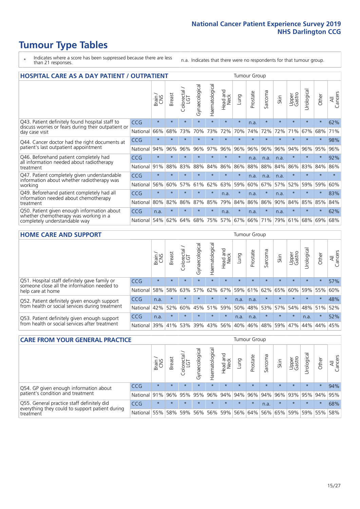# **Tumour Type Tables**

- \* Indicates where a score has been suppressed because there are less than 21 responses.
- n.a. Indicates that there were no respondents for that tumour group.

| <b>HOSPITAL CARE AS A DAY PATIENT / OUTPATIENT</b><br><b>Tumour Group</b>                                             |            |         |               |                         |                |                |                         |         |          |                  |         |                 |            |         |                |  |  |  |  |  |  |  |
|-----------------------------------------------------------------------------------------------------------------------|------------|---------|---------------|-------------------------|----------------|----------------|-------------------------|---------|----------|------------------|---------|-----------------|------------|---------|----------------|--|--|--|--|--|--|--|
|                                                                                                                       |            | Brain   | <b>Breast</b> | olorectal /<br>LGT<br>Ũ | Gynaecological | Haematological | ead and<br>Neck<br>Head | Lung    | Prostate | arcoma<br>$\sim$ | Skin    | Upper<br>Gastro | Urological | Other   | All<br>Cancers |  |  |  |  |  |  |  |
| Q43. Patient definitely found hospital staff to                                                                       | CCG        | $\star$ | $\star$       | $\star$                 | $\star$        | $\star$        | $\star$                 | $\star$ | n.a.     | $\star$          | $\star$ | $\star$         | $\star$    | $\star$ | 62%            |  |  |  |  |  |  |  |
| discuss worries or fears during their outpatient or<br>day case visit                                                 | National   | 66%     | 68%           | 73%                     | 70%            | 73%            | 72%                     | 70%     | 74%      | 72%              | 72%     | 71%             | 67%        | 68%     | 71%            |  |  |  |  |  |  |  |
| Q44. Cancer doctor had the right documents at<br>patient's last outpatient appointment                                | CCG        | $\star$ | $\star$       | $\star$                 |                |                | $\star$                 | $\star$ | $\star$  | $\star$          |         | $\star$         | $\star$    | $\ast$  | 98%            |  |  |  |  |  |  |  |
|                                                                                                                       | National   | 94%     | 96%           | 96%                     | 96%            | 97%            | 96%                     | 96%     | 96%      | 96%              | 96%     | 94%             | 96%        | 95%     | 96%            |  |  |  |  |  |  |  |
| Q46. Beforehand patient completely had                                                                                | <b>CCG</b> | $\star$ | $\star$       |                         |                |                | $\star$                 | $\star$ | n.a.     | n.a.             | n.a.    | $\star$         | $\star$    | $\star$ | 92%            |  |  |  |  |  |  |  |
| all information needed about radiotherapy<br>treatment                                                                | National   | 91%     | 88%           | 83%                     | 88%            | 84%            | 86%                     | 86%     | 88%      | 88%              | 84%     | 86%             | 83%        | 84%     | 86%            |  |  |  |  |  |  |  |
| Q47. Patient completely given understandable                                                                          | <b>CCG</b> | $\star$ | $\star$       | $\star$                 |                | ÷              | $\star$                 | $\star$ | n.a.     | n.a.             | n.a.    | $\star$         | ÷          | $\star$ | $\star$        |  |  |  |  |  |  |  |
| information about whether radiotherapy was<br>working                                                                 | National   | 56%     | 60%           | 57%                     | 61%            | 62%            | 63%                     | 59%     | 60%      | 67%              | 57%     | 52%             | 59%        | 59%     | 60%            |  |  |  |  |  |  |  |
| Q49. Beforehand patient completely had all                                                                            | CCG        | $\star$ | $\star$       | $\star$                 | $\star$        | $\star$        | n.a.                    | $\star$ | n.a.     | $\star$          | n.a.    | $\star$         | $\star$    | $\ast$  | 83%            |  |  |  |  |  |  |  |
| information needed about chemotherapy<br>treatment                                                                    | National   | 80%     | 82%           | 86%                     | 87%            | 85%            | 79%                     | 84%     | 86%      | 86%              | 90%     | 84%             | 85%        | 85%     | 84%            |  |  |  |  |  |  |  |
| Q50. Patient given enough information about<br>whether chemotherapy was working in a<br>completely understandable way | <b>CCG</b> | n.a.    | $\star$       | $\star$                 |                | $\star$        | n.a.                    | $\star$ | n.a.     | $\star$          | n.a.    | $\star$         |            | $\star$ | 62%            |  |  |  |  |  |  |  |
|                                                                                                                       | National   | 54%     | 62%           | 64%                     | 68%            | 75%            |                         | 57% 67% | 66%      | 71%              | 79%     | 61%             | 68%        | 69%     | 68%            |  |  |  |  |  |  |  |

### **HOME CARE AND SUPPORT** Tumour Group

|                                                                                                                   |            | Brain   | Breast  | Colorectal<br>LGT | ᢛ<br>Gynaecologic | Haematological | Head and<br>Neck | <b>Dung</b> | Prostate | Sarcoma | Skin    | Upper<br>Gastro | rologica | Other   | All<br>Cancers |
|-------------------------------------------------------------------------------------------------------------------|------------|---------|---------|-------------------|-------------------|----------------|------------------|-------------|----------|---------|---------|-----------------|----------|---------|----------------|
| Q51. Hospital staff definitely gave family or<br>someone close all the information needed to<br>help care at home | <b>CCG</b> | $\star$ | $\star$ | $\star$           | $\star$           | $\star$        | $\star$          | $\star$     | $\star$  | $\star$ | $\star$ | $\star$         | $\star$  | $\star$ | 57%            |
|                                                                                                                   | National   | 58%     | 58%     | 63%               | 57%               | 62%            | 67%              |             | 59% 61%  |         | 62% 65% | 60%             | 59% 55%  |         | 60%            |
| Q52. Patient definitely given enough support<br>from health or social services during treatment                   | <b>CCG</b> | n.a.    | $\star$ | $\star$           | $\star$           | $\star$        | $\star$          | n.a.        | n.a.     |         |         | $\star$         | $\star$  | $\star$ | 48%            |
|                                                                                                                   | National   | 42%     | 52%     | 60%               |                   | 45% 51%        | 59%              | 50%         | 48%      |         | 53% 57% | 54%             | 48% 51%  |         | 52%            |
| Q53. Patient definitely given enough support<br>from health or social services after treatment                    | <b>CCG</b> | n.a.    | $\star$ | $\star$           | $\star$           | $\star$        | $\star$          | n.a.        | n.a.     |         | $\star$ | $\star$         | n.a.     | $\star$ | 52%            |
|                                                                                                                   | National   | 39%     | 41% 53% |                   | 39%               | 43%            | 56%              | 40%         | 46%      | 48%     | 59%     | 47%             | 44%      | 44%     | 45%            |

| <b>CARE FROM YOUR GENERAL PRACTICE</b>                                                                     |              |         |               |                   |                |                |                  |         | Tumour Group                        |         |         |                 |            |         |                |  |  |  |  |  |  |
|------------------------------------------------------------------------------------------------------------|--------------|---------|---------------|-------------------|----------------|----------------|------------------|---------|-------------------------------------|---------|---------|-----------------|------------|---------|----------------|--|--|--|--|--|--|
|                                                                                                            |              | Brain   | <b>Breast</b> | Colorectal<br>LGT | Gynaecological | Haematological | Head and<br>Neck | Lung    | Prostate                            | Sarcoma | Skin    | Upper<br>Gastro | Urological | Other   | All<br>Cancers |  |  |  |  |  |  |
| Q54. GP given enough information about<br>patient's condition and treatment                                | <b>CCG</b>   | $\star$ | $\star$       | $\star$           | $\star$        | $\star$        | $\star$          | $\star$ | $\star$                             | $\star$ | $\star$ | $\star$         | $\star$    | $\star$ | 94%            |  |  |  |  |  |  |
|                                                                                                            | National 91% |         |               | 96% 95%           | 95%            |                |                  |         | 96% 94% 94% 96% 94% 96% 93% 95% 94% |         |         |                 |            |         | 95%            |  |  |  |  |  |  |
| Q55. General practice staff definitely did<br>everything they could to support patient during<br>treatment | <b>CCG</b>   | $\star$ | $\star$       | $\star$           | $\star$        | $\star$        | $\star$          | $\star$ | $\star$                             | n.a.    | $\star$ | $\star$         | $\star$    | $\star$ | 68%            |  |  |  |  |  |  |
|                                                                                                            | National     | 55%     |               | 58% 59%           | 56%            |                | 56% 59%          |         | 56% 64%                             |         | 56% 65% | 59%             |            | 59% 55% | 58%            |  |  |  |  |  |  |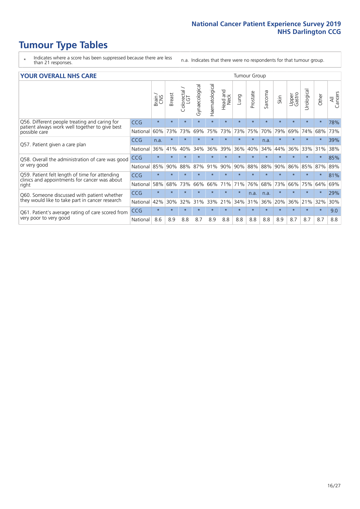# **Tumour Type Tables**

- \* Indicates where a score has been suppressed because there are less than 21 responses.
- n.a. Indicates that there were no respondents for that tumour group.

#### **YOUR OVERALL NHS CARE** THE TWO CONTROLLER THE THE THROUP CHANGE THE TUMOUR GROUP

|                                                                                                          |            | Brain<br>CNS | <b>Breast</b> | olorectal.<br>LGT<br>$\cup$ | Gynaecological | Haematological | aad and<br>Neck<br>Head | Lung                 | Prostate | arcoma<br>$\sqrt{ }$ | Skin    | Upper<br>Gastro | लु<br>Urologia | Other   | All<br>Cancers |  |  |  |  |  |
|----------------------------------------------------------------------------------------------------------|------------|--------------|---------------|-----------------------------|----------------|----------------|-------------------------|----------------------|----------|----------------------|---------|-----------------|----------------|---------|----------------|--|--|--|--|--|
| Q56. Different people treating and caring for                                                            | <b>CCG</b> | $\star$      | $\star$       | $\star$                     | $\star$        | $\star$        | $\star$                 | $\star$              | $\star$  | $\star$              | $\star$ | $\star$         |                | $\ast$  | 78%            |  |  |  |  |  |
| patient always work well together to give best<br>possible care                                          | National   | 60%          | 73%           | 73%                         | 69%            | 75%            | 73%                     | 73%                  | 75%      | 70%                  | 79%     | 69%             | 74%            | 68%     | 73%            |  |  |  |  |  |
| Q57. Patient given a care plan                                                                           | <b>CCG</b> | n.a.         | $\star$       | $\star$                     | $\star$        |                | $\star$                 | $\star$              | $\star$  | n.a.                 | $\star$ |                 |                | $\star$ | 39%            |  |  |  |  |  |
|                                                                                                          | National   | 36%          | 41%           | 40%                         | 34%            | 36%            | 39%                     | 36%                  | 40%      | 34%                  | 44%     | 36%             | 33%            | 31%     | 38%            |  |  |  |  |  |
| Q58. Overall the administration of care was good                                                         | <b>CCG</b> | $\star$      |               | $\star$                     | $\star$        |                | $\star$                 | $\ddot{\phantom{1}}$ | $\star$  | $\star$              | $\star$ |                 |                | $\star$ | 85%            |  |  |  |  |  |
| or very good                                                                                             | National   | 85%          | 90%           | 88%                         | 87%            | 91%            | 90%                     | 90%                  | 88%      | 88%                  | 90%     | 86%             | 85%            | 87%     | 89%            |  |  |  |  |  |
| Q59. Patient felt length of time for attending<br>clinics and appointments for cancer was about<br>right | <b>CCG</b> | $\star$      | $\star$       | $\star$                     | $\star$        |                | $\star$                 | $\star$              | $\star$  | $\star$              | $\star$ |                 |                | $\star$ | 81%            |  |  |  |  |  |
|                                                                                                          | National   | 58%          | 68%           | 73%                         | 66%            | 66%            | 71%                     | 71%                  | 76%      | 68%                  | 73%     | 66%             | 75%            | 64%     | 69%            |  |  |  |  |  |
| Q60. Someone discussed with patient whether                                                              | <b>CCG</b> | $\star$      | $\star$       | $\star$                     | $\star$        |                | $\star$                 | $\star$              | n.a.     | n.a.                 | $\star$ |                 |                | $\star$ | 29%            |  |  |  |  |  |
| they would like to take part in cancer research                                                          | National   | 42%          | 30%           | 32%                         | 31%            | 33%            | 21%                     | 34%                  | 31%      | 36%                  | 20%     | 36%             | 21%            | 32%     | 30%            |  |  |  |  |  |
| Q61. Patient's average rating of care scored from<br>very poor to very good                              | <b>CCG</b> | $\star$      | $\star$       | $\star$                     | $\star$        |                | $\star$                 | $\star$              | $\star$  | $\star$              | $\star$ | $\star$         | $\star$        | $\ast$  | 9.0            |  |  |  |  |  |
|                                                                                                          | National   | 8.6          | 8.9           | 8.8                         | 8.7            | 8.9            | 8.8                     | 8.8                  | 8.8      | 8.8                  | 8.9     | 8.7             | 8.7            | 8.7     | 8.8            |  |  |  |  |  |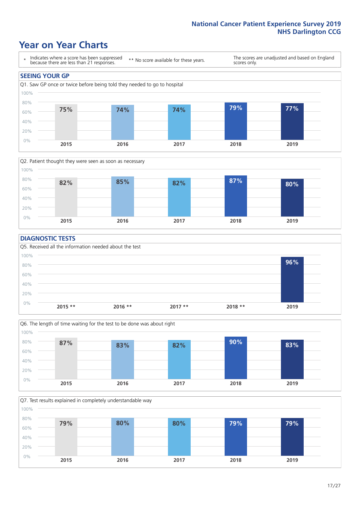### **Year on Year Charts**





### **DIAGNOSTIC TESTS**





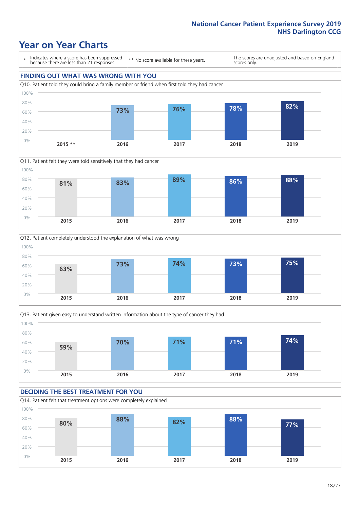### **Year on Year Charts**

\* Indicates where a score has been suppressed because there are less than 21 responses.

\*\* No score available for these years.

The scores are unadjusted and based on England scores only.

### **FINDING OUT WHAT WAS WRONG WITH YOU**









#### **DECIDING THE BEST TREATMENT FOR YOU** Q14. Patient felt that treatment options were completely explained 0% 20% 40% 60% 80% 100% **2015 2016 2017 2018 2019 80% 88% 82% 88% 77%**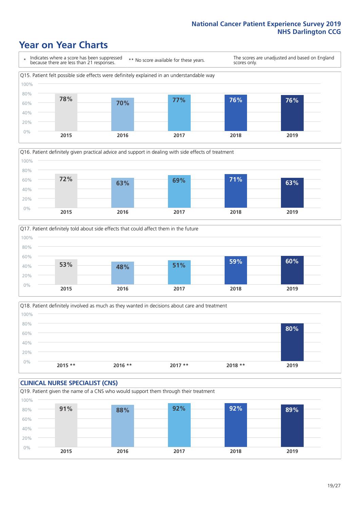### **Year on Year Charts**







Q18. Patient definitely involved as much as they wanted in decisions about care and treatment  $0%$ 20% 40% 60% 80% 100% **2015 \*\* 2016 \*\* 2017 \*\* 2018 \*\* 2019 80%**

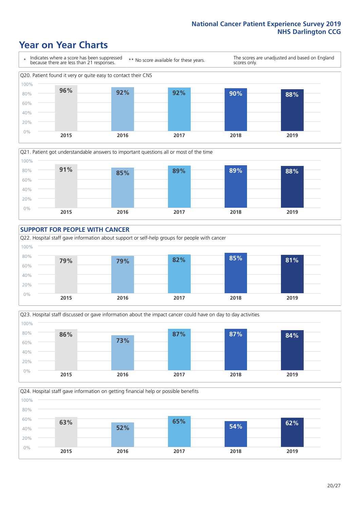### **Year on Year Charts**











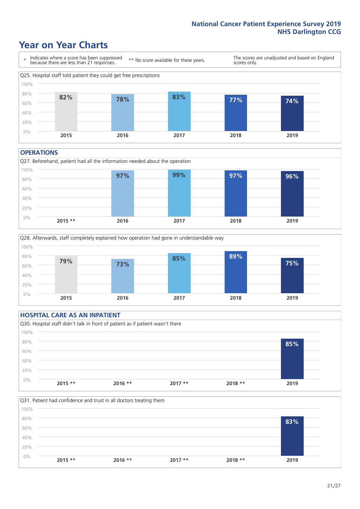### **Year on Year Charts**



#### **OPERATIONS**







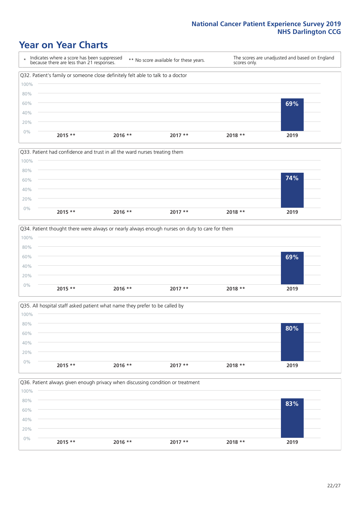### **Year on Year Charts**









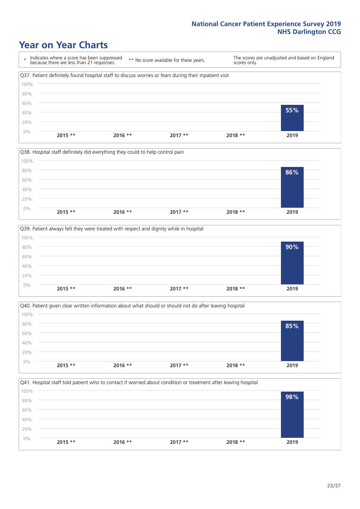### **Year on Year Charts**

\* Indicates where a score has been suppressed because there are less than 21 responses. \*\* No score available for these years. The scores are unadjusted and based on England scores only. Q37. Patient definitely found hospital staff to discuss worries or fears during their inpatient visit 0% 20% 40% 60% 80% 100% **2015 \*\* 2016 \*\* 2017 \*\* 2018 \*\* 2019 55%**







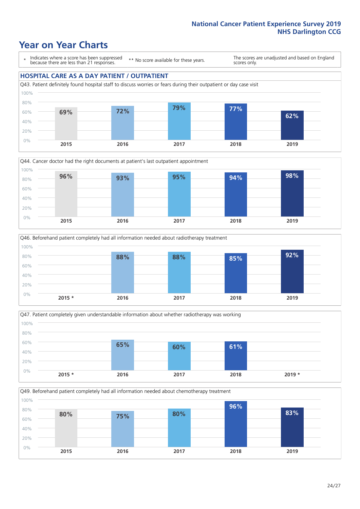### **Year on Year Charts**

\* Indicates where a score has been suppressed because there are less than 21 responses.

\*\* No score available for these years.

The scores are unadjusted and based on England scores only.

### **HOSPITAL CARE AS A DAY PATIENT / OUTPATIENT**









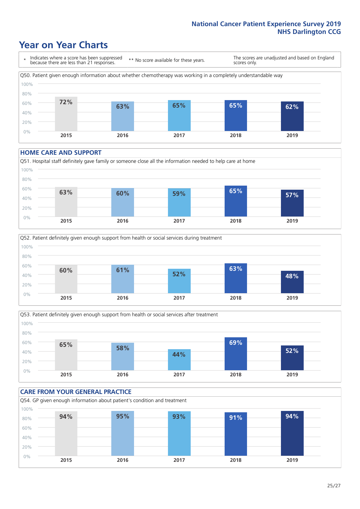## **Year on Year Charts**

\* Indicates where a score has been suppressed because there are less than 21 responses. \*\* No score available for these years. The scores are unadjusted and based on England scores only. Q50. Patient given enough information about whether chemotherapy was working in a completely understandable way 60% 80% 100% **72% 63% 65% 65% 62%**



#### **HOME CARE AND SUPPORT**







#### **CARE FROM YOUR GENERAL PRACTICE** Q54. GP given enough information about patient's condition and treatment 0% 20% 40% 60% 80% 100% **2015 2016 2017 2018 2019 94% 95% 93% 91% 94%**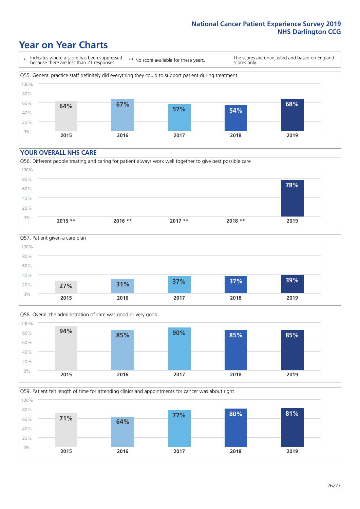### **Year on Year Charts**

\* Indicates where a score has been suppressed because there are less than 21 responses.

\*\* No score available for these years.

The scores are unadjusted and based on England scores only.



#### **YOUR OVERALL NHS CARE**







Q59. Patient felt length of time for attending clinics and appointments for cancer was about right 0% 20% 40% 60% 80% 100% **2015 2016 2017 2018 2019 71% 64% 77% 80% 81%**